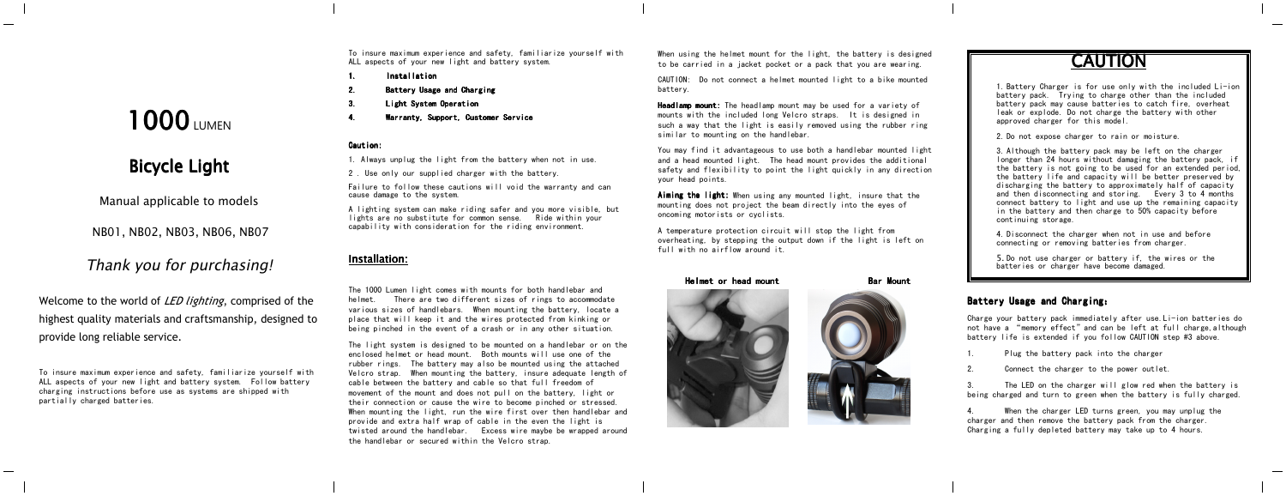To insure maximum experience and safety, familiarize yourself with ALL aspects of your new light and battery system.

- 1.Installation Installation
- 2.Battery Usage and Charging
- 3.Light System Operation
- Warranty, Support, Customer Service

#### Caution:

4.

- 1. Always unplug the light from the battery when not in use.
- 2 . Use only our supplied charger with the battery.

Failure to follow these cautions will void the warranty and can cause damage to the system.

A lighting system can make riding safer and you more visible, but lights are no substitute for common sense. Ride within your capability with consideration for the riding environment.

#### **Installation:**

The 1000 Lumen light comes with mounts for both handlebar and helmet. There are two different sizes of rings to accommodate various sizes of handlebars. When mounting the battery, locate <sup>a</sup> place that will keep it and the wires protected from kinking or being pinched in the event of <sup>a</sup> crash or in any other situation.

The light system is designed to be mounted on <sup>a</sup> handlebar or on the enclosed helmet or head mount. Both mounts will use one of the rubber rings. The battery may also be mounted using the attached Velcro strap. When mounting the battery, insure adequate length of cable between the battery and cable so that full freedom of movement of the mount and does not pull on the battery, light or their connection or cause the wire to become pinched or stressed. When mounting the light, run the wire first over then handlebar and provide and extra half wrap of cable in the even the light is twisted around the handlebar. Excess wire maybe be wrapped around the handlebar or secured within the Velcro strap.

When using the helmet mount for the light, the battery is designed to be carried in <sup>a</sup> jacket pocket or <sup>a</sup> pack that you are wearing.

CAUTION: Do not connect <sup>a</sup> helmet mounted light to <sup>a</sup> bike mounted battery.

Headlamp mount: The headlamp mount may be used for a variety of mounts with the included long Velcro straps. It is designed in such <sup>a</sup> way that the light is easily removed using the rubber ring similar to mounting on the handlebar.

You may find it advantageous to use both <sup>a</sup> handlebar mounted light and <sup>a</sup> head mounted light. The head mount provides the additional safety and flexibility to point the light quickly in any direction your head points.

Aiming the light: When using any mounted light, insure that the mounting does not project the beam directly into the eyes of oncoming motorists or cyclists.

A temperature protection circuit will stop the light from overheating, by stepping the output down if the light is left on full with no airflow around it.

**CAUTION CAUTION**

**1. Battery Charger is for use only with the included Li-ior** battery pack. Trying to charge other than the included battery pack may cause batteries to catch fire, overheat leak or explode. Do not charge the battery with other approved charger for this model.

**2. Do not expose charger to rain or moisture** 

**1** 3. Although the battery pack may be left on the charger longer than 24 hours without damaging the battery pack, if **the battery is not going to be used for an extended period**  $\blacksquare$  the battery life and capacity will be better preserved by discharging the battery to approximately half of capacity **I** and then disconnecting and storing. Every 3 to 4 months connect battery to light and use up the remaining capacity  $\parallel$  in the battery and then charge to 50% capacity before continuing storage.

**4. Disconnect the charger when not in use and before** connecting or removing batteries from charger.

> **5.** Do not use charger or battery if, the wires or the batteries or charger have become damaged.

## Battery Usage and Charging:

Charge your battery pack immediately after use.Li-ion batteries do not have a "memory effect"and can be left at full charge,although battery life is extended if you follow CAUTION step #3 above.

- 1.Plug the battery pack into the charger
- $\overline{2}$ Connect the charger to the power outlet.

3. The LED on the charger will glow red when the battery is being charged and turn to green when the battery is fully charged.

4. When the charger LED turns green, you may unplug the charger and then remove the battery pack from the charger. Charging <sup>a</sup> fully depleted battery may take up to 4 hours.





# **Bicycle** Light

**Manual applicable to models**

**NB01, NB02, NB03, NB06, NB07**

# **Thank you for purchasing!**

Welcome to the world of *LED lighting*, comprised of the highest quality materials and craftsmanship, designed to provide long reliable service.

To insure maximum experience and safety, familiarize yourself with ALL aspects of your new light and battery system. Follow battery charging instructions before use as systems are shipped with partially charged batteries.

Helmet or head mount Bar Mount